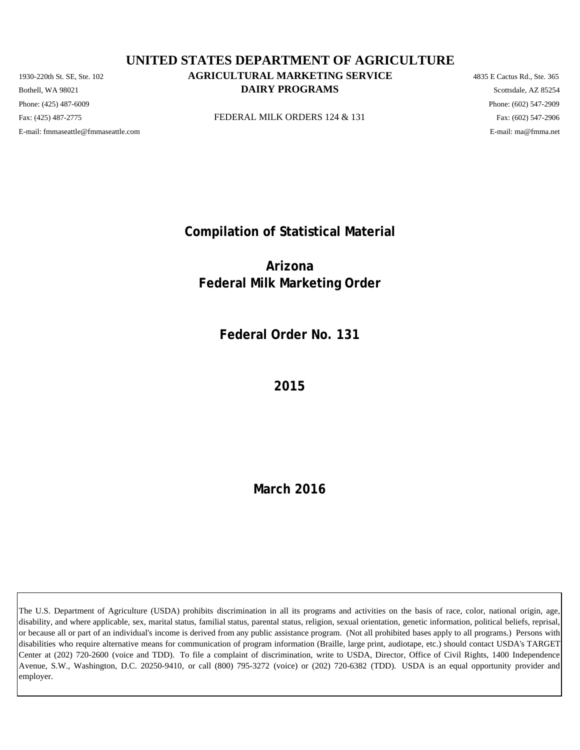Phone: (425) 487-6009 Phone: (602) 547-2909 E-mail: fmmaseattle@fmmaseattle.com E-mail: ma@fmma.net

# 1930-220th St. SE, Ste. 102 **AGRICULTURAL MARKETING SERVICE** 4835 E Cactus Rd., Ste. 365 **DAIRY PROGRAMS** Scottsdale, AZ 85254 **UNITED STATES DEPARTMENT OF AGRICULTURE**

Fax: (425) 487-2775 **FEDERAL MILK ORDERS 124 & 131** Fax: (425) 487-2775 Fax: (602) 547-2906

**Compilation of Statistical Material**

**Arizona Federal Milk Marketing Order**

**Federal Order No. 131**

**2015**

**March 2016**

The U.S. Department of Agriculture (USDA) prohibits discrimination in all its programs and activities on the basis of race, color, national origin, age, disability, and where applicable, sex, marital status, familial status, parental status, religion, sexual orientation, genetic information, political beliefs, reprisal, or because all or part of an individual's income is derived from any public assistance program. (Not all prohibited bases apply to all programs.) Persons with disabilities who require alternative means for communication of program information (Braille, large print, audiotape, etc.) should contact USDA's TARGET Center at (202) 720-2600 (voice and TDD). To file a complaint of discrimination, write to USDA, Director, Office of Civil Rights, 1400 Independence Avenue, S.W., Washington, D.C. 20250-9410, or call (800) 795-3272 (voice) or (202) 720-6382 (TDD). USDA is an equal opportunity provider and employer.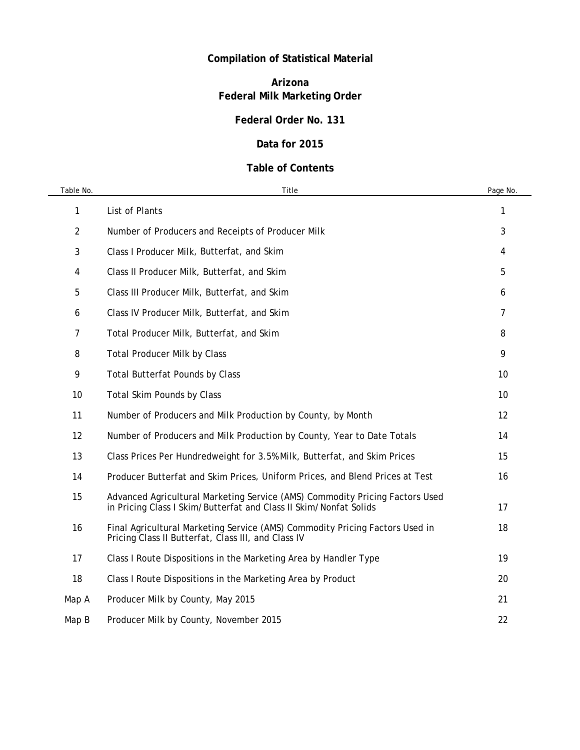# **Compilation of Statistical Material**

# **Arizona Federal Milk Marketing Order**

# **Federal Order No. 131**

## **Data for 2015**

## **Table of Contents**

| Table No. | Title                                                                                                                                             | Page No. |
|-----------|---------------------------------------------------------------------------------------------------------------------------------------------------|----------|
| 1         | List of Plants                                                                                                                                    | 1        |
| 2         | Number of Producers and Receipts of Producer Milk                                                                                                 | 3        |
| 3         | Class I Producer Milk, Butterfat, and Skim                                                                                                        | 4        |
| 4         | Class II Producer Milk, Butterfat, and Skim                                                                                                       | 5        |
| 5         | Class III Producer Milk, Butterfat, and Skim                                                                                                      | 6        |
| 6         | Class IV Producer Milk, Butterfat, and Skim                                                                                                       | 7        |
| 7         | Total Producer Milk, Butterfat, and Skim                                                                                                          | 8        |
| 8         | <b>Total Producer Milk by Class</b>                                                                                                               | 9        |
| 9         | <b>Total Butterfat Pounds by Class</b>                                                                                                            | 10       |
| 10        | <b>Total Skim Pounds by Class</b>                                                                                                                 | 10       |
| 11        | Number of Producers and Milk Production by County, by Month                                                                                       | 12       |
| 12        | Number of Producers and Milk Production by County, Year to Date Totals                                                                            | 14       |
| 13        | Class Prices Per Hundredweight for 3.5% Milk, Butterfat, and Skim Prices                                                                          | 15       |
| 14        | Producer Butterfat and Skim Prices, Uniform Prices, and Blend Prices at Test                                                                      | 16       |
| 15        | Advanced Agricultural Marketing Service (AMS) Commodity Pricing Factors Used<br>in Pricing Class I Skim/Butterfat and Class II Skim/Nonfat Solids | 17       |
| 16        | Final Agricultural Marketing Service (AMS) Commodity Pricing Factors Used in<br>Pricing Class II Butterfat, Class III, and Class IV               | 18       |
| 17        | Class I Route Dispositions in the Marketing Area by Handler Type                                                                                  | 19       |
| 18        | Class I Route Dispositions in the Marketing Area by Product                                                                                       | 20       |
| Map A     | Producer Milk by County, May 2015                                                                                                                 | 21       |
| Map B     | Producer Milk by County, November 2015                                                                                                            | 22       |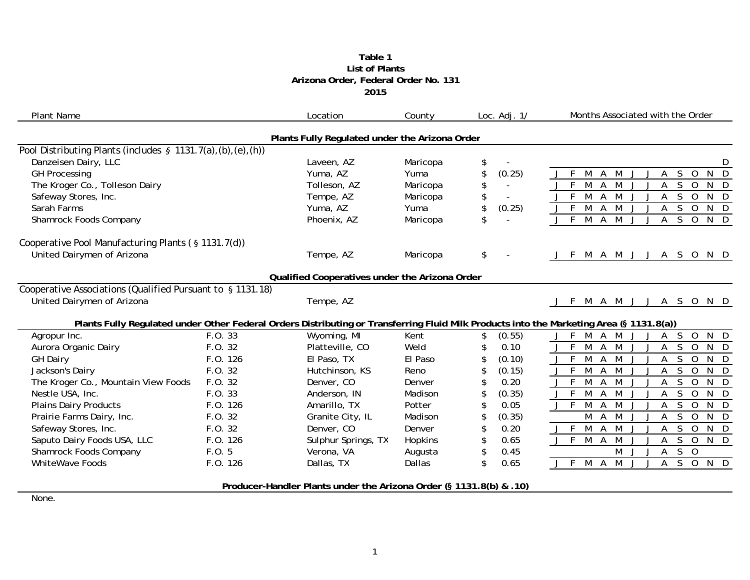#### **Table 1 2015 Arizona Order, Federal Order No. 131 List of Plants**

| <b>Plant Name</b>                                              |          | Location                                                            | County   | Loc. $Adj. 1/$       | Months Associated with the Order                                                                                                         |
|----------------------------------------------------------------|----------|---------------------------------------------------------------------|----------|----------------------|------------------------------------------------------------------------------------------------------------------------------------------|
|                                                                |          | Plants Fully Regulated under the Arizona Order                      |          |                      |                                                                                                                                          |
| Pool Distributing Plants (includes $\S$ 1131.7(a),(b),(e),(h)) |          |                                                                     |          |                      |                                                                                                                                          |
| Danzeisen Dairy, LLC                                           |          | Laveen, AZ                                                          | Maricopa | \$                   | D                                                                                                                                        |
| <b>GH Processing</b>                                           |          | Yuma, AZ                                                            | Yuma     | \$<br>(0.25)         | $N$ $D$<br>M<br>A<br>M<br>S.<br>$\overline{O}$<br>А                                                                                      |
| The Kroger Co., Tolleson Dairy                                 |          | Tolleson, AZ                                                        | Maricopa | \$<br>$\sim$         | M<br>M<br>$\mathsf{S}$<br>$J$ F<br>$\overline{A}$<br>$\overline{O}$<br>N D<br>Α                                                          |
| Safeway Stores, Inc.                                           |          | Tempe, AZ                                                           | Maricopa | \$<br>$\blacksquare$ | $J$ F<br>$\overline{A}$<br>M<br>S<br>$\overline{0}$<br>M<br>N D<br>A                                                                     |
| Sarah Farms                                                    |          | Yuma, AZ                                                            | Yuma     | \$<br>(0.25)         | $J$ F $M$<br>S<br>$\overline{A}$<br>M<br>$\overline{O}$<br>N D<br>A                                                                      |
| Shamrock Foods Company                                         |          | Phoenix, AZ                                                         | Maricopa |                      | $J$ F<br>M<br>M<br>S.<br>$\overline{O}$<br>$N$ D<br>$\overline{A}$                                                                       |
| Cooperative Pool Manufacturing Plants (§ 1131.7(d))            |          |                                                                     |          |                      |                                                                                                                                          |
| United Dairymen of Arizona                                     |          | Tempe, AZ                                                           | Maricopa | \$<br>$\blacksquare$ | M A M J J A S O N D<br>- F<br>J                                                                                                          |
|                                                                |          | Qualified Cooperatives under the Arizona Order                      |          |                      |                                                                                                                                          |
| Cooperative Associations (Qualified Pursuant to § 1131.18)     |          |                                                                     |          |                      |                                                                                                                                          |
| United Dairymen of Arizona                                     |          | Tempe, AZ                                                           |          |                      | M A M J J A S O N D<br>F.                                                                                                                |
|                                                                |          |                                                                     |          |                      | Plants Fully Regulated under Other Federal Orders Distributing or Transferring Fluid Milk Products into the Marketing Area (§ 1131.8(a)) |
| Agropur Inc.                                                   | F.0.33   | Wyoming, MI                                                         | Kent     | (0.55)<br>\$         | $N$ D<br>F.<br>M<br>M<br>$\mathsf{S}$<br>$\overline{O}$<br>$\mathsf{A}$<br>A                                                             |
| Aurora Organic Dairy                                           | F.0.32   | Platteville, CO                                                     | Weld     | 0.10                 | $J$ F<br>M<br>S<br>$\mathsf{A}$<br>M<br>$\overline{O}$<br>N D                                                                            |
| <b>GH Dairy</b>                                                | F.O. 126 | El Paso, TX                                                         | El Paso  | (0.10)               | $J$ F<br>$\mathsf S$<br>M<br>$\overline{0}$<br>$N$ D<br>A<br>M                                                                           |
| Jackson's Dairy                                                | F.O. 32  | Hutchinson, KS                                                      | Reno     | (0.15)               | $J$ F<br>S<br>N D<br>M<br>M<br>$\overline{0}$<br>Α                                                                                       |
| The Kroger Co., Mountain View Foods                            | F.O. 32  | Denver, CO                                                          | Denver   | 0.20                 | $\bar{F}$<br>M<br>M<br>$\overline{0}$<br>N D<br>A<br>S<br>Α                                                                              |
| Nestle USA, Inc.                                               | F.0.33   | Anderson, IN                                                        | Madison  | (0.35)<br>\$         | $\overline{M}$<br>$J$ F<br>M<br>$\mathsf S$<br>$\overline{0}$<br>$N$ D<br>A<br>A                                                         |
| <b>Plains Dairy Products</b>                                   | F.O. 126 | Amarillo, TX                                                        | Potter   | 0.05                 | $\overline{M}$<br>$\mathsf{S}$<br>J F<br>M<br>$\overline{A}$<br>$\overline{O}$<br>N D                                                    |
| Prairie Farms Dairy, Inc.                                      | F.0.32   | Granite City, IL                                                    | Madison  | (0.35)               | M<br>M<br>S<br>$\overline{0}$<br>$N$ D<br>A                                                                                              |
| Safeway Stores, Inc.                                           | F.0.32   | Denver, CO                                                          | Denver   | \$<br>0.20           | $J$ F<br>$\overline{M}$<br>$\mathsf S$<br>M<br>$\overline{0}$<br>N D<br>A                                                                |
| Saputo Dairy Foods USA, LLC                                    | F.O. 126 | Sulphur Springs, TX                                                 | Hopkins  | \$<br>0.65           | $J$ F<br>$\overline{M}$<br>$\overline{M}$<br>S<br>$\overline{O}$<br>$\overline{A}$<br>N D<br>A<br>J.                                     |
| Shamrock Foods Company                                         | F.0.5    | Verona, VA                                                          | Augusta  | 0.45<br>\$           | $S$ 0<br>M J<br>A                                                                                                                        |
| <b>WhiteWave Foods</b>                                         | F.O. 126 | Dallas, TX                                                          | Dallas   | \$<br>0.65           | J F M A<br>$U$ M<br>SOND<br>$\mathsf{A}$                                                                                                 |
|                                                                |          | Producer-Handler Plants under the Arizona Order (§ 1131.8(b) & .10) |          |                      |                                                                                                                                          |
| $N = 1$                                                        |          |                                                                     |          |                      |                                                                                                                                          |

None.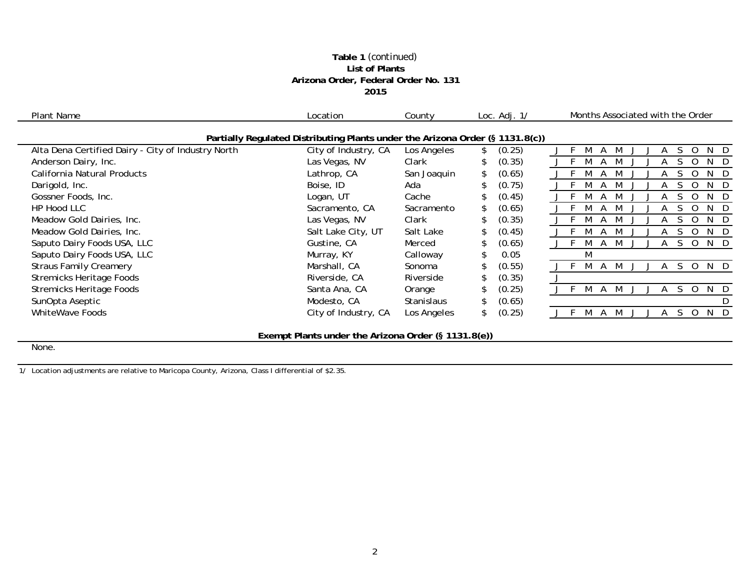### **Table 1** *(continued)* **List of Plants Arizona Order, Federal Order No. 131 2015**

| Plant Name                                         | Location                                                                      | County            | Loc. $Adj. 1/$ | Months Associated with the Order |
|----------------------------------------------------|-------------------------------------------------------------------------------|-------------------|----------------|----------------------------------|
|                                                    | Partially Regulated Distributing Plants under the Arizona Order (§ 1131.8(c)) |                   |                |                                  |
| Alta Dena Certified Dairy - City of Industry North | City of Industry, CA                                                          | Los Angeles       | (0.25)         | ∩<br>N.                          |
| Anderson Dairy, Inc.                               | Las Vegas, NV                                                                 | Clark             | (0.35)         |                                  |
| California Natural Products                        | Lathrop, CA                                                                   | San Joaquin       | (0.65)         | ∩<br>N.                          |
| Darigold, Inc.                                     | Boise, ID                                                                     | Ada               | (0.75)         | N<br>$\Omega$                    |
| Gossner Foods, Inc.                                | Logan, UT                                                                     | Cache             | (0.45)         | $\Omega$<br>N                    |
| HP Hood LLC                                        | Sacramento, CA                                                                | Sacramento        | (0.65)         | Ω<br>N.                          |
| Meadow Gold Dairies, Inc.                          | Las Vegas, NV                                                                 | Clark             | (0.35)         | N.<br>Ω                          |
| Meadow Gold Dairies, Inc.                          | Salt Lake City, UT                                                            | Salt Lake         | (0.45)         | 0<br>N.                          |
| Saputo Dairy Foods USA, LLC                        | Gustine, CA                                                                   | Merced            | (0.65)         | 0<br>N                           |
| Saputo Dairy Foods USA, LLC                        | Murray, KY                                                                    | Calloway          | 0.05           | M                                |
| <b>Straus Family Creamery</b>                      | Marshall, CA                                                                  | Sonoma            | (0.55)         | 0<br>N<br>-D                     |
| <b>Stremicks Heritage Foods</b>                    | Riverside, CA                                                                 | Riverside         | (0.35)         |                                  |
| <b>Stremicks Heritage Foods</b>                    | Santa Ana, CA                                                                 | Orange            | (0.25)         | S.<br>$\Omega$<br>N.             |
| SunOpta Aseptic                                    | Modesto, CA                                                                   | <b>Stanislaus</b> | (0.65)         |                                  |
| <b>WhiteWave Foods</b>                             | City of Industry, CA                                                          | Los Angeles       | (0.25)         | $\Omega$<br>N.<br>S.<br>M        |
|                                                    |                                                                               |                   |                |                                  |

**Exempt Plants under the Arizona Order (§ 1131.8(e))**

None.

1/ Location adjustments are relative to Maricopa County, Arizona, Class I differential of \$2.35.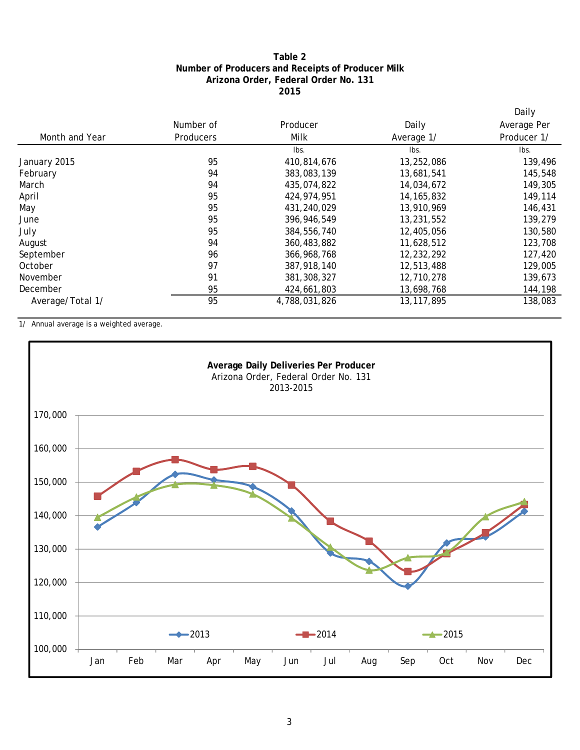## **2015 Arizona Order, Federal Order No. 131 Number of Producers and Receipts of Producer Milk Table 2**

|                  |           |               |              | Daily       |
|------------------|-----------|---------------|--------------|-------------|
|                  | Number of | Producer      | Daily        | Average Per |
| Month and Year   | Producers | Milk          | Average 1/   | Producer 1/ |
|                  |           | lbs.          | Ibs.         | lbs.        |
| January 2015     | 95        | 410,814,676   | 13,252,086   | 139,496     |
| February         | 94        | 383,083,139   | 13,681,541   | 145,548     |
| March            | 94        | 435,074,822   | 14,034,672   | 149,305     |
| April            | 95        | 424,974,951   | 14, 165, 832 | 149,114     |
| May              | 95        | 431,240,029   | 13,910,969   | 146,431     |
| June             | 95        | 396,946,549   | 13,231,552   | 139,279     |
| July             | 95        | 384,556,740   | 12,405,056   | 130,580     |
| August           | 94        | 360,483,882   | 11,628,512   | 123,708     |
| September        | 96        | 366, 968, 768 | 12,232,292   | 127,420     |
| October          | 97        | 387,918,140   | 12,513,488   | 129,005     |
| November         | 91        | 381, 308, 327 | 12,710,278   | 139,673     |
| December         | 95        | 424,661,803   | 13,698,768   | 144,198     |
| Average/Total 1/ | 95        | 4,788,031,826 | 13, 117, 895 | 138,083     |

1/ Annual average is a weighted average.

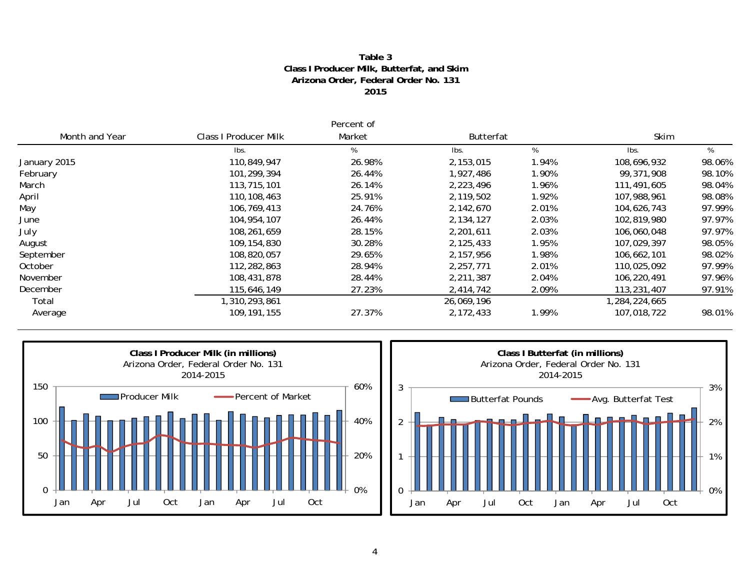#### **2015 Arizona Order, Federal Order No. 131 Class I Producer Milk, Butterfat, and Skim Table 3**

|                |                              | Percent of |                  |       |               |        |
|----------------|------------------------------|------------|------------------|-------|---------------|--------|
| Month and Year | <b>Class I Producer Milk</b> | Market     | <b>Butterfat</b> |       | Skim          |        |
|                | lbs.                         | %          | lbs.             | %     | Ibs.          | %      |
| January 2015   | 110,849,947                  | 26.98%     | 2,153,015        | 1.94% | 108,696,932   | 98.06% |
| February       | 101,299,394                  | 26.44%     | 1,927,486        | 1.90% | 99,371,908    | 98.10% |
| March          | 113,715,101                  | 26.14%     | 2,223,496        | 1.96% | 111,491,605   | 98.04% |
| April          | 110,108,463                  | 25.91%     | 2,119,502        | 1.92% | 107,988,961   | 98.08% |
| May            | 106,769,413                  | 24.76%     | 2,142,670        | 2.01% | 104,626,743   | 97.99% |
| June           | 104, 954, 107                | 26.44%     | 2,134,127        | 2.03% | 102,819,980   | 97.97% |
| July           | 108,261,659                  | 28.15%     | 2,201,611        | 2.03% | 106,060,048   | 97.97% |
| August         | 109,154,830                  | 30.28%     | 2,125,433        | 1.95% | 107.029.397   | 98.05% |
| September      | 108,820,057                  | 29.65%     | 2,157,956        | 1.98% | 106,662,101   | 98.02% |
| October        | 112,282,863                  | 28.94%     | 2,257,771        | 2.01% | 110,025,092   | 97.99% |
| November       | 108,431,878                  | 28.44%     | 2,211,387        | 2.04% | 106,220,491   | 97.96% |
| December       | 115,646,149                  | 27.23%     | 2,414,742        | 2.09% | 113,231,407   | 97.91% |
| Total          | 1,310,293,861                |            | 26,069,196       |       | 1,284,224,665 |        |
| Average        | 109, 191, 155                | 27.37%     | 2,172,433        | 1.99% | 107,018,722   | 98.01% |



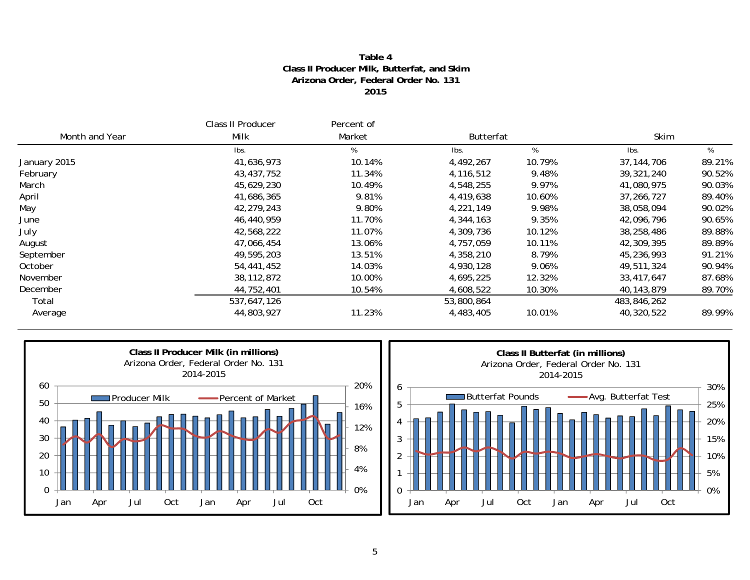### **Table 4Class II Producer Milk, Butterfat, and Skim Arizona Order, Federal Order No. 131 2015**

|                | Class II Producer | Percent of |            |                  |              |        |  |
|----------------|-------------------|------------|------------|------------------|--------------|--------|--|
| Month and Year | Milk              | Market     |            | <b>Butterfat</b> |              | Skim   |  |
|                | Ibs.              | %          | lbs.       | %                | Ibs.         | %      |  |
| January 2015   | 41,636,973        | 10.14%     | 4,492,267  | 10.79%           | 37, 144, 706 | 89.21% |  |
| February       | 43,437,752        | 11.34%     | 4,116,512  | 9.48%            | 39,321,240   | 90.52% |  |
| March          | 45,629,230        | 10.49%     | 4,548,255  | 9.97%            | 41,080,975   | 90.03% |  |
| April          | 41,686,365        | 9.81%      | 4,419,638  | 10.60%           | 37,266,727   | 89.40% |  |
| May            | 42,279,243        | 9.80%      | 4,221,149  | 9.98%            | 38,058,094   | 90.02% |  |
| June           | 46,440,959        | 11.70%     | 4,344,163  | 9.35%            | 42,096,796   | 90.65% |  |
| July           | 42,568,222        | 11.07%     | 4,309,736  | 10.12%           | 38,258,486   | 89.88% |  |
| August         | 47,066,454        | 13.06%     | 4,757,059  | 10.11%           | 42,309,395   | 89.89% |  |
| September      | 49,595,203        | 13.51%     | 4,358,210  | 8.79%            | 45,236,993   | 91.21% |  |
| October        | 54,441,452        | 14.03%     | 4,930,128  | 9.06%            | 49,511,324   | 90.94% |  |
| November       | 38, 112, 872      | 10.00%     | 4,695,225  | 12.32%           | 33,417,647   | 87.68% |  |
| December       | 44,752,401        | 10.54%     | 4,608,522  | 10.30%           | 40,143,879   | 89.70% |  |
| Total          | 537,647,126       |            | 53,800,864 |                  | 483,846,262  |        |  |
| Average        | 44,803,927        | 11.23%     | 4,483,405  | 10.01%           | 40,320,522   | 89.99% |  |

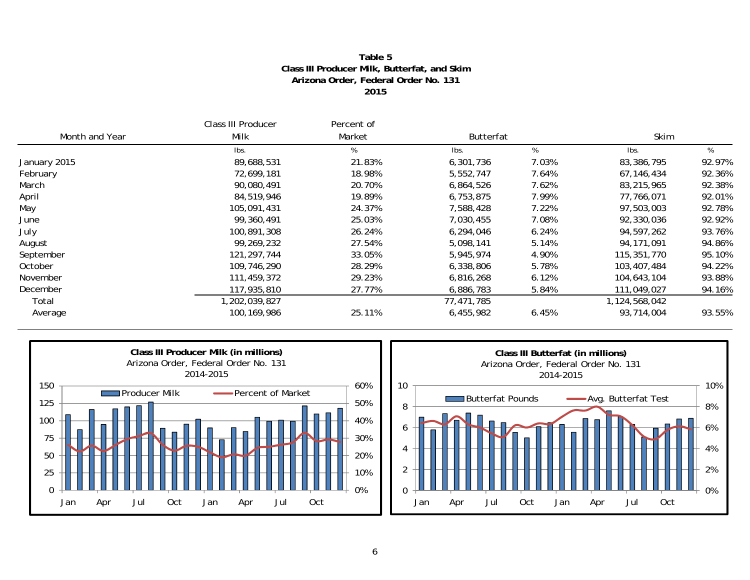### **Table 5Class III Producer Milk, Butterfat, and Skim Arizona Order, Federal Order No. 131 2015**

|                | Class III Producer | Percent of |            |                  |               |        |  |
|----------------|--------------------|------------|------------|------------------|---------------|--------|--|
| Month and Year | Milk               | Market     |            | <b>Butterfat</b> |               | Skim   |  |
|                | Ibs.               | %          | lbs.       | %                | Ibs.          | %      |  |
| January 2015   | 89,688,531         | 21.83%     | 6,301,736  | 7.03%            | 83,386,795    | 92.97% |  |
| February       | 72,699,181         | 18.98%     | 5,552,747  | 7.64%            | 67,146,434    | 92.36% |  |
| March          | 90,080,491         | 20.70%     | 6,864,526  | 7.62%            | 83,215,965    | 92.38% |  |
| April          | 84,519,946         | 19.89%     | 6,753,875  | 7.99%            | 77,766,071    | 92.01% |  |
| May            | 105,091,431        | 24.37%     | 7,588,428  | 7.22%            | 97,503,003    | 92.78% |  |
| June           | 99,360,491         | 25.03%     | 7,030,455  | 7.08%            | 92,330,036    | 92.92% |  |
| July           | 100,891,308        | 26.24%     | 6,294,046  | 6.24%            | 94,597,262    | 93.76% |  |
| August         | 99,269,232         | 27.54%     | 5,098,141  | 5.14%            | 94,171,091    | 94.86% |  |
| September      | 121, 297, 744      | 33.05%     | 5,945,974  | 4.90%            | 115,351,770   | 95.10% |  |
| October        | 109,746,290        | 28.29%     | 6,338,806  | 5.78%            | 103,407,484   | 94.22% |  |
| November       | 111,459,372        | 29.23%     | 6,816,268  | 6.12%            | 104,643,104   | 93.88% |  |
| December       | 117,935,810        | 27.77%     | 6,886,783  | 5.84%            | 111,049,027   | 94.16% |  |
| Total          | 1,202,039,827      |            | 77,471,785 |                  | 1,124,568,042 |        |  |
| Average        | 100, 169, 986      | 25.11%     | 6,455,982  | 6.45%            | 93,714,004    | 93.55% |  |



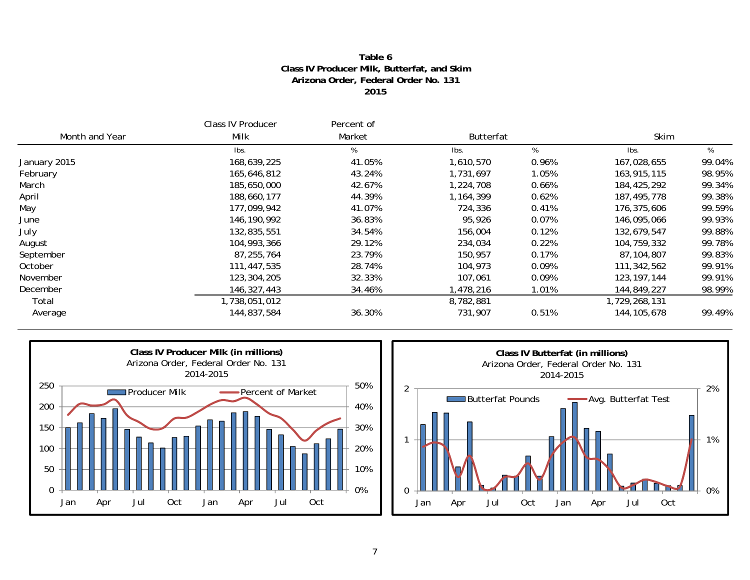### **Table 6Class IV Producer Milk, Butterfat, and Skim Arizona Order, Federal Order No. 131 2015**

|                | Class IV Producer | Percent of |           |                  |               |        |  |
|----------------|-------------------|------------|-----------|------------------|---------------|--------|--|
| Month and Year | Milk              | Market     |           | <b>Butterfat</b> |               | Skim   |  |
|                | Ibs.              | %          | lbs.      | %                | Ibs.          | %      |  |
| January 2015   | 168,639,225       | 41.05%     | 1,610,570 | 0.96%            | 167,028,655   | 99.04% |  |
| February       | 165,646,812       | 43.24%     | 1,731,697 | 1.05%            | 163,915,115   | 98.95% |  |
| March          | 185,650,000       | 42.67%     | 1,224,708 | 0.66%            | 184,425,292   | 99.34% |  |
| April          | 188,660,177       | 44.39%     | 1,164,399 | 0.62%            | 187,495,778   | 99.38% |  |
| May            | 177,099,942       | 41.07%     | 724,336   | 0.41%            | 176,375,606   | 99.59% |  |
| June           | 146, 190, 992     | 36.83%     | 95,926    | 0.07%            | 146,095,066   | 99.93% |  |
| July           | 132,835,551       | 34.54%     | 156,004   | 0.12%            | 132,679,547   | 99.88% |  |
| August         | 104,993,366       | 29.12%     | 234,034   | 0.22%            | 104,759,332   | 99.78% |  |
| September      | 87,255,764        | 23.79%     | 150,957   | 0.17%            | 87.104.807    | 99.83% |  |
| October        | 111,447,535       | 28.74%     | 104,973   | 0.09%            | 111,342,562   | 99.91% |  |
| November       | 123,304,205       | 32.33%     | 107,061   | 0.09%            | 123, 197, 144 | 99.91% |  |
| December       | 146,327,443       | 34.46%     | ,478,216  | 1.01%            | 144,849,227   | 98.99% |  |
| Total          | 1,738,051,012     |            | 8,782,881 |                  | 1,729,268,131 |        |  |
| Average        | 144,837,584       | 36.30%     | 731,907   | 0.51%            | 144, 105, 678 | 99.49% |  |



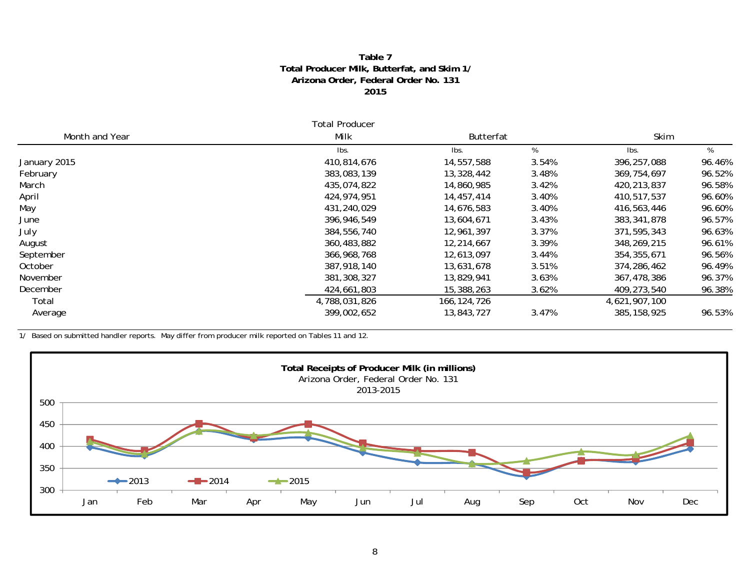#### **Table 7 Total Producer Milk, Butterfat, and Skim 1 / Arizona Order, Federal Order No. 131 2015**

|                | <b>Total Producer</b> |               |                  |               |        |  |
|----------------|-----------------------|---------------|------------------|---------------|--------|--|
| Month and Year | Milk                  |               | <b>Butterfat</b> |               | Skim   |  |
|                | lbs.                  | lbs.          | %                | Ibs.          | %      |  |
| January 2015   | 410,814,676           | 14,557,588    | 3.54%            | 396,257,088   | 96.46% |  |
| February       | 383,083,139           | 13,328,442    | 3.48%            | 369,754,697   | 96.52% |  |
| March          | 435,074,822           | 14,860,985    | 3.42%            | 420,213,837   | 96.58% |  |
| April          | 424,974,951           | 14,457,414    | 3.40%            | 410,517,537   | 96.60% |  |
| May            | 431,240,029           | 14,676,583    | 3.40%            | 416,563,446   | 96.60% |  |
| June           | 396,946,549           | 13,604,671    | 3.43%            | 383, 341, 878 | 96.57% |  |
| July           | 384,556,740           | 12,961,397    | 3.37%            | 371,595,343   | 96.63% |  |
| August         | 360,483,882           | 12,214,667    | 3.39%            | 348,269,215   | 96.61% |  |
| September      | 366,968,768           | 12,613,097    | 3.44%            | 354, 355, 671 | 96.56% |  |
| October        | 387,918,140           | 13,631,678    | 3.51%            | 374,286,462   | 96.49% |  |
| November       | 381,308,327           | 13,829,941    | 3.63%            | 367,478,386   | 96.37% |  |
| December       | 424,661,803           | 15,388,263    | 3.62%            | 409,273,540   | 96.38% |  |
| Total          | 4,788,031,826         | 166, 124, 726 |                  | 4,621,907,100 |        |  |
| Average        | 399,002,652           | 13,843,727    | 3.47%            | 385, 158, 925 | 96.53% |  |

1/ Based on submitted handler reports. May differ from producer milk reported on Tables 11 and 12.

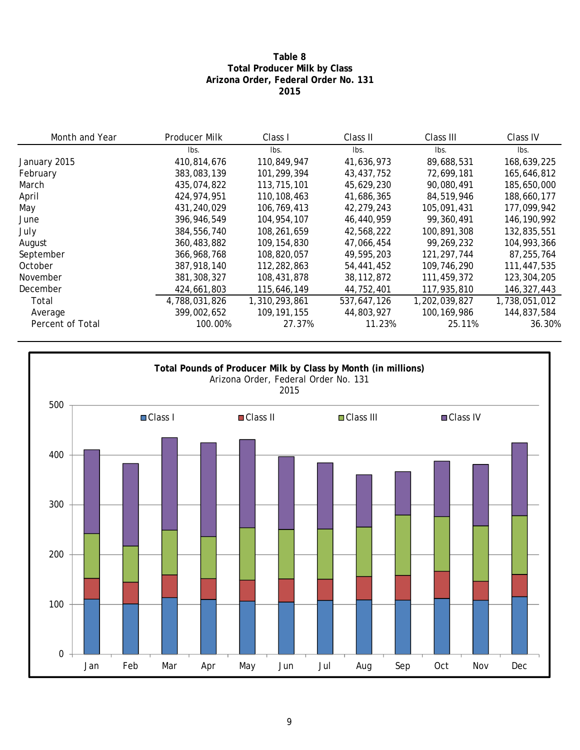## **Table 8 Total Producer Milk by Class Arizona Order, Federal Order No. 131 2015**

| Month and Year   | Producer Milk | Class I       | Class II     | Class III     | Class IV      |
|------------------|---------------|---------------|--------------|---------------|---------------|
|                  | lbs.          | lbs.          | lbs.         | lbs.          | lbs.          |
| January 2015     | 410,814,676   | 110,849,947   | 41,636,973   | 89,688,531    | 168,639,225   |
| February         | 383,083,139   | 101,299,394   | 43,437,752   | 72,699,181    | 165,646,812   |
| March            | 435,074,822   | 113,715,101   | 45,629,230   | 90,080,491    | 185,650,000   |
| April            | 424,974,951   | 110, 108, 463 | 41,686,365   | 84,519,946    | 188,660,177   |
| May              | 431,240,029   | 106,769,413   | 42,279,243   | 105,091,431   | 177,099,942   |
| June             | 396,946,549   | 104,954,107   | 46,440,959   | 99,360,491    | 146, 190, 992 |
| July             | 384,556,740   | 108,261,659   | 42,568,222   | 100,891,308   | 132,835,551   |
| August           | 360,483,882   | 109, 154, 830 | 47,066,454   | 99,269,232    | 104,993,366   |
| September        | 366,968,768   | 108,820,057   | 49,595,203   | 121, 297, 744 | 87,255,764    |
| October          | 387,918,140   | 112,282,863   | 54,441,452   | 109,746,290   | 111,447,535   |
| November         | 381, 308, 327 | 108,431,878   | 38, 112, 872 | 111,459,372   | 123,304,205   |
| December         | 424,661,803   | 115,646,149   | 44,752,401   | 117,935,810   | 146,327,443   |
| Total            | 4,788,031,826 | 1,310,293,861 | 537,647,126  | 1,202,039,827 | 1,738,051,012 |
| Average          | 399,002,652   | 109, 191, 155 | 44,803,927   | 100, 169, 986 | 144,837,584   |
| Percent of Total | 100.00%       | 27.37%        | 11.23%       | 25.11%        | 36.30%        |

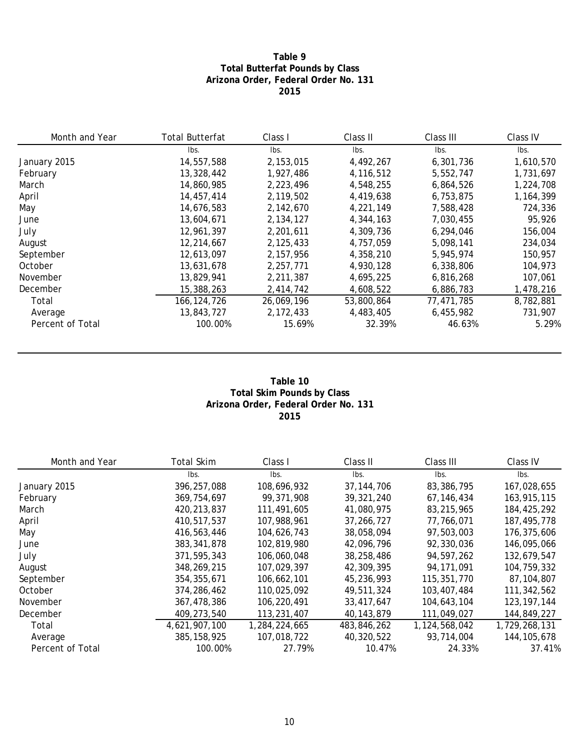## **Table 9 Total Butterfat Pounds by Class Arizona Order, Federal Order No. 131 2015**

| Month and Year   | <b>Total Butterfat</b> | Class I    | Class II   | Class III  | Class IV  |
|------------------|------------------------|------------|------------|------------|-----------|
|                  | lbs.                   | lbs.       | lbs.       | lbs.       | Ibs.      |
| January 2015     | 14,557,588             | 2,153,015  | 4,492,267  | 6,301,736  | 1,610,570 |
| February         | 13,328,442             | 1,927,486  | 4,116,512  | 5,552,747  | 1,731,697 |
| March            | 14,860,985             | 2,223,496  | 4,548,255  | 6,864,526  | 1,224,708 |
| April            | 14,457,414             | 2,119,502  | 4,419,638  | 6,753,875  | 1,164,399 |
| May              | 14,676,583             | 2.142.670  | 4,221,149  | 7,588,428  | 724,336   |
| June             | 13,604,671             | 2,134,127  | 4,344,163  | 7,030,455  | 95,926    |
| July             | 12,961,397             | 2,201,611  | 4,309,736  | 6,294,046  | 156,004   |
| August           | 12,214,667             | 2,125,433  | 4,757,059  | 5,098,141  | 234,034   |
| September        | 12,613,097             | 2,157,956  | 4,358,210  | 5,945,974  | 150,957   |
| October          | 13,631,678             | 2,257,771  | 4,930,128  | 6,338,806  | 104,973   |
| November         | 13,829,941             | 2,211,387  | 4,695,225  | 6,816,268  | 107,061   |
| December         | 15,388,263             | 2,414,742  | 4,608,522  | 6,886,783  | 1,478,216 |
| Total            | 166,124,726            | 26,069,196 | 53,800,864 | 77,471,785 | 8,782,881 |
| Average          | 13,843,727             | 2,172,433  | 4,483,405  | 6,455,982  | 731,907   |
| Percent of Total | 100.00%                | 15.69%     | 32.39%     | 46.63%     | 5.29%     |

#### **Table 10 Total Skim Pounds by Class Arizona Order, Federal Order No. 131 2015**

| Month and Year   | <b>Total Skim</b> | Class I       | Class II     | Class III     | Class IV      |
|------------------|-------------------|---------------|--------------|---------------|---------------|
|                  | lbs.              | lbs.          | Ibs.         | lbs.          | lbs.          |
| January 2015     | 396.257.088       | 108,696,932   | 37.144.706   | 83,386,795    | 167,028,655   |
| February         | 369, 754, 697     | 99,371,908    | 39, 321, 240 | 67, 146, 434  | 163,915,115   |
| March            | 420,213,837       | 111,491,605   | 41,080,975   | 83,215,965    | 184,425,292   |
| April            | 410,517,537       | 107,988,961   | 37, 266, 727 | 77,766,071    | 187,495,778   |
| May              | 416,563,446       | 104,626,743   | 38,058,094   | 97,503,003    | 176,375,606   |
| June             | 383, 341, 878     | 102,819,980   | 42,096,796   | 92,330,036    | 146,095,066   |
| July             | 371.595.343       | 106,060,048   | 38,258,486   | 94,597,262    | 132,679,547   |
| August           | 348,269,215       | 107,029,397   | 42,309,395   | 94, 171, 091  | 104,759,332   |
| September        | 354, 355, 671     | 106,662,101   | 45,236,993   | 115,351,770   | 87,104,807    |
| October          | 374,286,462       | 110,025,092   | 49,511,324   | 103,407,484   | 111,342,562   |
| November         | 367,478,386       | 106,220,491   | 33,417,647   | 104,643,104   | 123, 197, 144 |
| December         | 409,273,540       | 113,231,407   | 40, 143, 879 | 111,049,027   | 144,849,227   |
| Total            | 4,621,907,100     | 1,284,224,665 | 483,846,262  | 1,124,568,042 | 1,729,268,131 |
| Average          | 385, 158, 925     | 107,018,722   | 40,320,522   | 93,714,004    | 144, 105, 678 |
| Percent of Total | 100.00%           | 27.79%        | 10.47%       | 24.33%        | 37.41%        |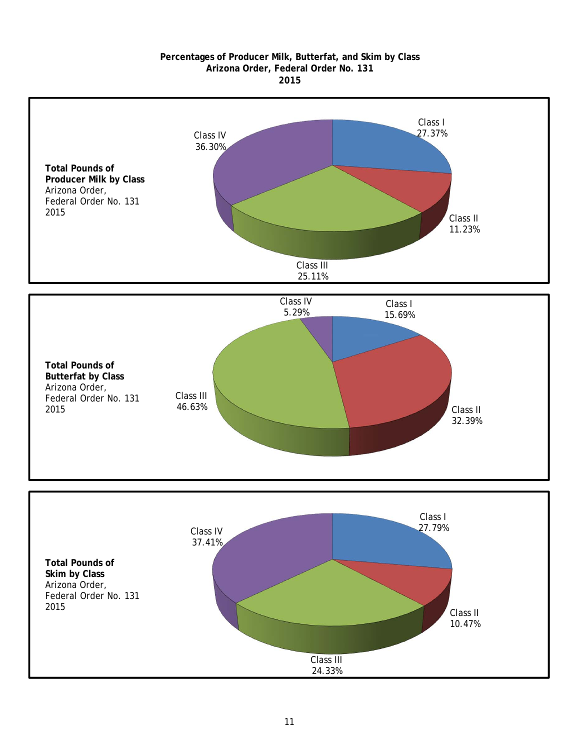#### **2015 Arizona Order, Federal Order No. 131 Percentages of Producer Milk, Butterfat, and Skim by Class**





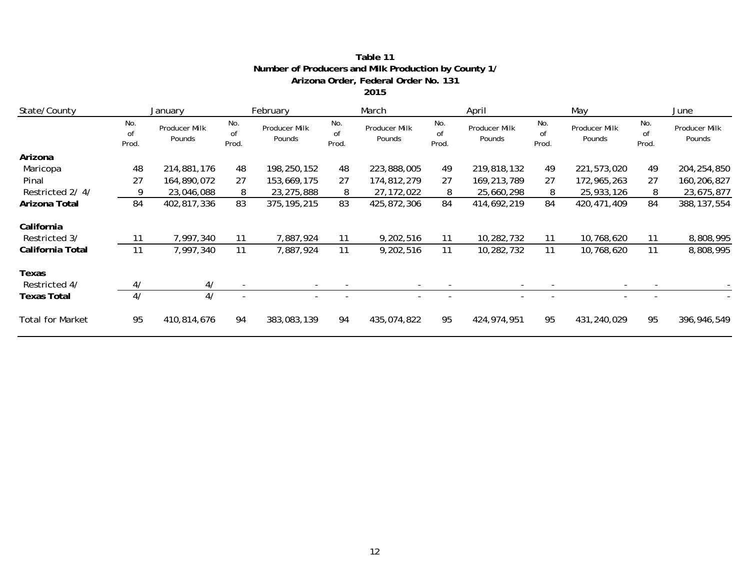| State/County            |                    | January                 |                    | February                |                    | March                   |                    | April                   |                    | May                     |                    | June                    |  |
|-------------------------|--------------------|-------------------------|--------------------|-------------------------|--------------------|-------------------------|--------------------|-------------------------|--------------------|-------------------------|--------------------|-------------------------|--|
|                         | No.<br>of<br>Prod. | Producer Milk<br>Pounds | No.<br>of<br>Prod. | Producer Milk<br>Pounds | No.<br>of<br>Prod. | Producer Milk<br>Pounds | No.<br>of<br>Prod. | Producer Milk<br>Pounds | No.<br>0f<br>Prod. | Producer Milk<br>Pounds | No.<br>of<br>Prod. | Producer Milk<br>Pounds |  |
| Arizona                 |                    |                         |                    |                         |                    |                         |                    |                         |                    |                         |                    |                         |  |
| Maricopa                | 48                 | 214,881,176             | 48                 | 198,250,152             | 48                 | 223,888,005             | 49                 | 219,818,132             | 49                 | 221,573,020             | 49                 | 204, 254, 850           |  |
| Pinal                   | 27                 | 164,890,072             | 27                 | 153,669,175             | 27                 | 174,812,279             | 27                 | 169,213,789             | 27                 | 172,965,263             | 27                 | 160,206,827             |  |
| Restricted 2/4/         | 9                  | 23,046,088              | 8                  | 23,275,888              | 8                  | 27, 172, 022            | 8                  | 25,660,298              | 8                  | 25,933,126              | 8                  | 23,675,877              |  |
| Arizona Total           | 84                 | 402,817,336             | 83                 | 375, 195, 215           | 83                 | 425,872,306             | 84                 | 414,692,219             | 84                 | 420, 471, 409           | 84                 | 388, 137, 554           |  |
| California              |                    |                         |                    |                         |                    |                         |                    |                         |                    |                         |                    |                         |  |
| Restricted 3/           | -11                | 7,997,340               | 11                 | 7,887,924               | 11                 | 9,202,516               | 11                 | 10,282,732              | 11                 | 10,768,620              | 11                 | 8,808,995               |  |
| California Total        | 11                 | 7,997,340               | 11                 | 7,887,924               | 11                 | 9,202,516               | 11                 | 10,282,732              | 11                 | 10,768,620              | 11                 | 8,808,995               |  |
| Texas                   |                    |                         |                    |                         |                    |                         |                    |                         |                    |                         |                    |                         |  |
| Restricted 4/           | 4/                 | 4/                      |                    |                         |                    |                         |                    |                         |                    |                         |                    |                         |  |
| Texas Total             | 4/                 | 4/                      |                    |                         |                    |                         |                    |                         |                    |                         |                    |                         |  |
| <b>Total for Market</b> | 95                 | 410,814,676             | 94                 | 383,083,139             | 94                 | 435,074,822             | 95                 | 424,974,951             | 95                 | 431,240,029             | 95                 | 396,946,549             |  |

#### **Table 11 Number of Producers and Milk Production by County 1/ Arizona Order, Federal Order No. 131 2015**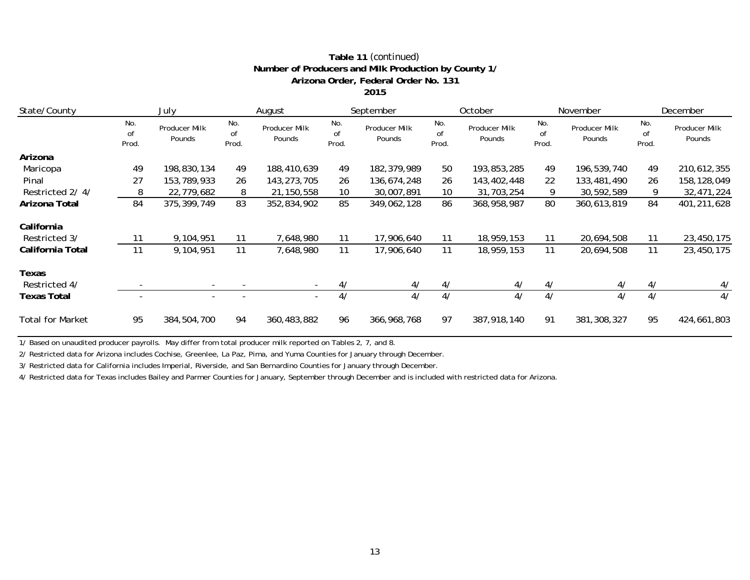| State/County            |                    | July                     | August             |                         |                    | September               |                    | October                 |                    | November                |                    | December                |  |
|-------------------------|--------------------|--------------------------|--------------------|-------------------------|--------------------|-------------------------|--------------------|-------------------------|--------------------|-------------------------|--------------------|-------------------------|--|
|                         | No.<br>of<br>Prod. | Producer Milk<br>Pounds  | No.<br>of<br>Prod. | Producer Milk<br>Pounds | No.<br>of<br>Prod. | Producer Milk<br>Pounds | No.<br>of<br>Prod. | Producer Milk<br>Pounds | No.<br>of<br>Prod. | Producer Milk<br>Pounds | No.<br>of<br>Prod. | Producer Milk<br>Pounds |  |
| Arizona                 |                    |                          |                    |                         |                    |                         |                    |                         |                    |                         |                    |                         |  |
| Maricopa                | 49                 | 198,830,134              | 49                 | 188,410,639             | 49                 | 182, 379, 989           | 50                 | 193,853,285             | 49                 | 196,539,740             | 49                 | 210,612,355             |  |
| Pinal                   | 27                 | 153,789,933              | 26                 | 143,273,705             | 26                 | 136,674,248             | 26                 | 143,402,448             | 22                 | 133,481,490             | 26                 | 158, 128, 049           |  |
| Restricted 2/4/         | 8                  | 22,779,682               | 8                  | 21, 150, 558            | 10 <sup>°</sup>    | 30,007,891              | 10                 | 31,703,254              | 9                  | 30,592,589              | 9                  | 32,471,224              |  |
| Arizona Total           | 84                 | 375, 399, 749            | 83                 | 352,834,902             | 85                 | 349,062,128             | 86                 | 368,958,987             | 80                 | 360,613,819             | 84                 | 401,211,628             |  |
| California              |                    |                          |                    |                         |                    |                         |                    |                         |                    |                         |                    |                         |  |
| Restricted 3/           | 11                 | 9,104,951                | 11                 | 7,648,980               | 11                 | 17,906,640              | 11                 | 18,959,153              | 11                 | 20,694,508              | 11                 | 23,450,175              |  |
| California Total        | 11                 | 9,104,951                | 11                 | 7,648,980               | 11                 | 17,906,640              | 11                 | 18,959,153              | 11                 | 20,694,508              | 11                 | 23,450,175              |  |
| Texas                   |                    |                          |                    |                         |                    |                         |                    |                         |                    |                         |                    |                         |  |
| Restricted 4/           |                    | $\overline{\phantom{a}}$ |                    | $\sim$                  | 4/                 | 4/                      | 4/                 | 4/                      | 4/                 | 4/                      | 4/                 | 4/                      |  |
| <b>Texas Total</b>      |                    | $\overline{\phantom{a}}$ |                    | $\sim$                  | 4/                 | 4/                      | 4/                 | 4/                      | 4/                 | 4/                      | 4/                 | 4/                      |  |
| <b>Total for Market</b> | 95                 | 384,504,700              | 94                 | 360,483,882             | 96                 | 366, 968, 768           | 97                 | 387,918,140             | 91                 | 381,308,327             | 95                 | 424,661,803             |  |

#### **Table 11** *(continued)* **Number of Producers and Milk Production by County 1/ Arizona Order, Federal Order No. 131 2015**

1/ Based on unaudited producer payrolls. May differ from total producer milk reported on Tables 2, 7, and 8.

2/ Restricted data for Arizona includes Cochise, Greenlee, La Paz, Pima, and Yuma Counties for January through December.

3/ Restricted data for California includes Imperial, Riverside, and San Bernardino Counties for January through December.

4/ Restricted data for Texas includes Bailey and Parmer Counties for January, September through December and is included with restricted data for Arizona.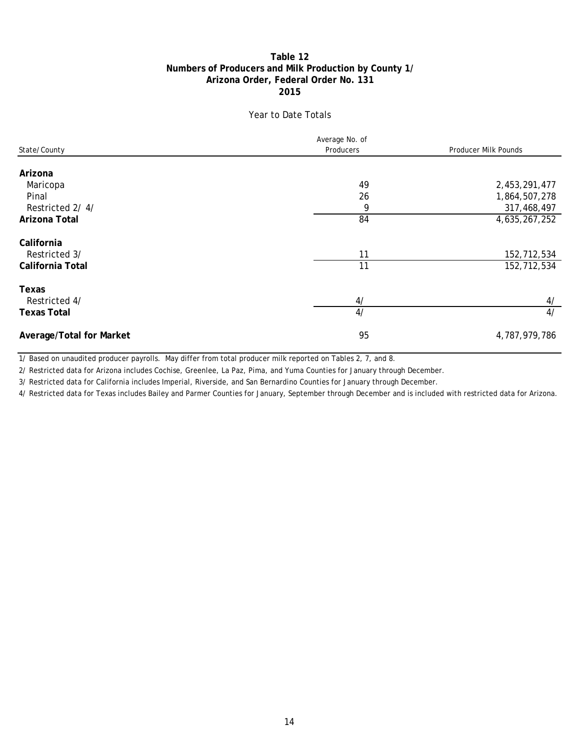## **Numbers of Producers and Milk Production by County 1/ Table 12 2015 Arizona Order, Federal Order No. 131**

## Year to Date Totals

| State/County             | Average No. of<br>Producers | Producer Milk Pounds |  |  |
|--------------------------|-----------------------------|----------------------|--|--|
| Arizona                  |                             |                      |  |  |
| Maricopa                 | 49                          | 2,453,291,477        |  |  |
| Pinal                    | 26                          | 1,864,507,278        |  |  |
| Restricted 2/4/          | 9                           | 317,468,497          |  |  |
| Arizona Total            | 84                          | 4,635,267,252        |  |  |
| California               |                             |                      |  |  |
| Restricted 3/            | 11                          | 152,712,534          |  |  |
| California Total         | 11                          | 152,712,534          |  |  |
| Texas                    |                             |                      |  |  |
| Restricted 4/            | 4/                          | 4/                   |  |  |
| <b>Texas Total</b>       | 4/                          | 4/                   |  |  |
| Average/Total for Market | 95                          | 4,787,979,786        |  |  |

1/ Based on unaudited producer payrolls. May differ from total producer milk reported on Tables 2, 7, and 8.

2/ Restricted data for Arizona includes Cochise, Greenlee, La Paz, Pima, and Yuma Counties for January through December.

3/ Restricted data for California includes Imperial, Riverside, and San Bernardino Counties for January through December.

4/ Restricted data for Texas includes Bailey and Parmer Counties for January, September through December and is included with restricted data for Arizona.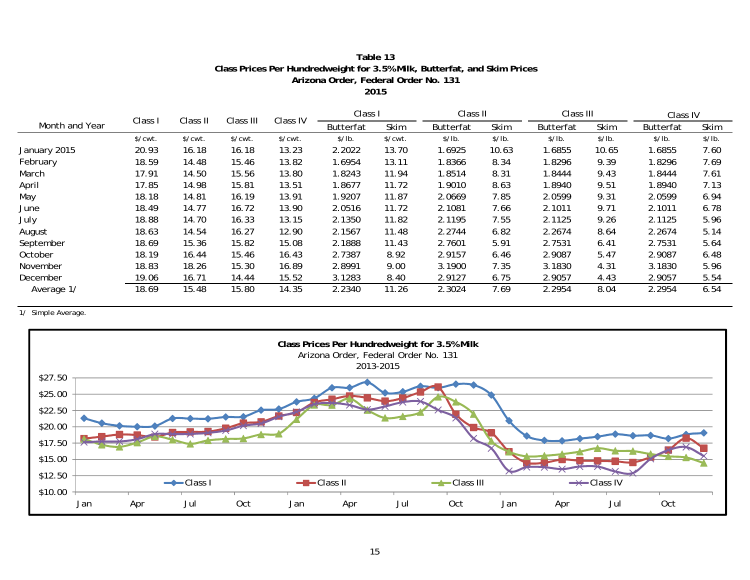## **Class Prices Per Hundredweight for 3.5% Milk, Butterfat, and Skim Prices Table 13 Arizona Order, Federal Order No. 131**

**2015**

|                |                       |                       | Class III | Class IV | Class I          |                       | Class II         |             | Class III        |        | Class IV         |        |
|----------------|-----------------------|-----------------------|-----------|----------|------------------|-----------------------|------------------|-------------|------------------|--------|------------------|--------|
| Month and Year | Class I               | Class II              |           |          | <b>Butterfat</b> | Skim                  | <b>Butterfat</b> | <b>Skim</b> | <b>Butterfat</b> | Skim   | <b>Butterfat</b> | Skim   |
|                | $\sqrt{\text{cwt}}$ . | $\sqrt{\text{cwt}}$ . | \$/cut.   | \$/cwt.  | \$/lb.           | $\sqrt{\text{cwt}}$ . | \$/lb.           | \$/lb.      | \$/lb.           | \$/lb. | \$/lb.           | \$/lb. |
| January 2015   | 20.93                 | 16.18                 | 16.18     | 13.23    | 2.2022           | 13.70                 | .6925            | 10.63       | 1.6855           | 10.65  | 1.6855           | 7.60   |
| February       | 18.59                 | 14.48                 | 15.46     | 13.82    | 1.6954           | 13.11                 | .8366            | 8.34        | 1.8296           | 9.39   | 1.8296           | 7.69   |
| March          | 17.91                 | 14.50                 | 15.56     | 13.80    | 1.8243           | 11.94                 | 1.8514           | 8.31        | 8444. ا          | 9.43   | 1.8444           | 7.61   |
| April          | 17.85                 | 14.98                 | 15.81     | 13.51    | 1.8677           | 11.72                 | 1.9010           | 8.63        | 1.8940           | 9.51   | 1.8940           | 7.13   |
| May            | 18.18                 | 14.81                 | 16.19     | 13.91    | 1.9207           | 11.87                 | 2.0669           | 7.85        | 2.0599           | 9.31   | 2.0599           | 6.94   |
| June           | 18.49                 | 14.77                 | 16.72     | 13.90    | 2.0516           | 11.72                 | 2.1081           | 7.66        | 2.1011           | 9.71   | 2.1011           | 6.78   |
| July           | 18.88                 | 14.70                 | 16.33     | 13.15    | 2.1350           | 11.82                 | 2.1195           | 7.55        | 2.1125           | 9.26   | 2.1125           | 5.96   |
| August         | 18.63                 | 14.54                 | 16.27     | 12.90    | 2.1567           | 11.48                 | 2.2744           | 6.82        | 2.2674           | 8.64   | 2.2674           | 5.14   |
| September      | 18.69                 | 15.36                 | 15.82     | 15.08    | 2.1888           | 11.43                 | 2.7601           | 5.91        | 2.7531           | 6.41   | 2.7531           | 5.64   |
| October        | 18.19                 | 16.44                 | 15.46     | 16.43    | 2.7387           | 8.92                  | 2.9157           | 6.46        | 2.9087           | 5.47   | 2.9087           | 6.48   |
| November       | 18.83                 | 18.26                 | 15.30     | 16.89    | 2.8991           | 9.00                  | 3.1900           | 7.35        | 3.1830           | 4.31   | 3.1830           | 5.96   |
| December       | 19.06                 | 16.71                 | 14.44     | 15.52    | 3.1283           | 8.40                  | 2.9127           | 6.75        | 2.9057           | 4.43   | 2.9057           | 5.54   |
| Average 1/     | 18.69                 | 15.48                 | 15.80     | 14.35    | 2.2340           | 11.26                 | 2.3024           | 7.69        | 2.2954           | 8.04   | 2.2954           | 6.54   |

1/ Simple Average.

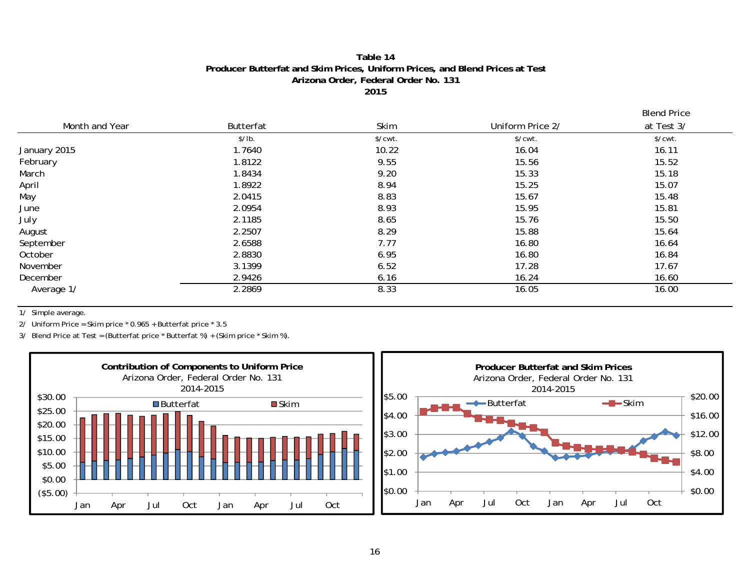#### **Table 14Producer Butterfat and Skim Prices, Uniform Prices, and Blend Prices at Test Arizona Order, Federal Order No. 131 2015**

Blend Price

|                |           |         |                  | ---------             |
|----------------|-----------|---------|------------------|-----------------------|
| Month and Year | Butterfat | Skim    | Uniform Price 2/ | at Test 3/            |
|                | \$/lb.    | \$/cwt. | \$/cwt.          | $\sqrt{\text{cwt}}$ . |
| January 2015   | 1.7640    | 10.22   | 16.04            | 16.11                 |
| February       | 1.8122    | 9.55    | 15.56            | 15.52                 |
| March          | 1.8434    | 9.20    | 15.33            | 15.18                 |
| April          | 1.8922    | 8.94    | 15.25            | 15.07                 |
| May            | 2.0415    | 8.83    | 15.67            | 15.48                 |
| June           | 2.0954    | 8.93    | 15.95            | 15.81                 |
| July           | 2.1185    | 8.65    | 15.76            | 15.50                 |
| August         | 2.2507    | 8.29    | 15.88            | 15.64                 |
| September      | 2.6588    | 7.77    | 16.80            | 16.64                 |
| October        | 2.8830    | 6.95    | 16.80            | 16.84                 |
| November       | 3.1399    | 6.52    | 17.28            | 17.67                 |
| December       | 2.9426    | 6.16    | 16.24            | 16.60                 |
| Average 1/     | 2.2869    | 8.33    | 16.05            | 16.00                 |

1/ Simple average.

2/ Uniform Price = Skim price \* 0.965 + Butterfat price \* 3.5

3/ Blend Price at Test = (Butterfat price \* Butterfat %) + (Skim price \* Skim %).

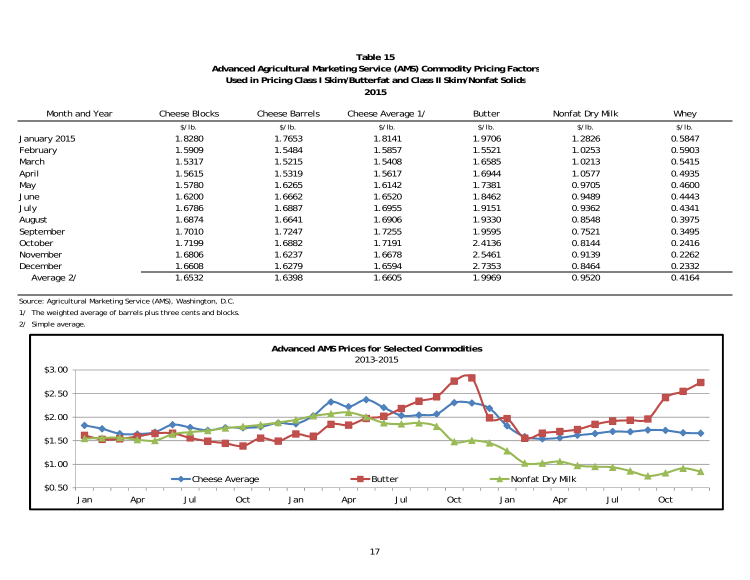## **Table 15Advanced Agricultural Marketing Service (AMS) Commodity Pricing Factor s Used in Pricing Class I Skim/Butterfat and Class II Skim/Nonfat Solid s**

**2015**

| Month and Year | <b>Cheese Blocks</b> | <b>Cheese Barrels</b> | Cheese Average 1/ | <b>Butter</b> | Nonfat Dry Milk | Whey   |
|----------------|----------------------|-----------------------|-------------------|---------------|-----------------|--------|
|                | \$/lb.               | \$/lb.                | \$/lb.            | \$/lb.        | \$/lb.          | \$/lb. |
| January 2015   | 1.8280               | 1.7653                | 1.8141            | 1.9706        | 1.2826          | 0.5847 |
| February       | 1.5909               | 1.5484                | 1.5857            | 1.5521        | 1.0253          | 0.5903 |
| March          | 1.5317               | 1.5215                | 1.5408            | 1.6585        | 1.0213          | 0.5415 |
| April          | 1.5615               | 1.5319                | 1.5617            | 1.6944        | 1.0577          | 0.4935 |
| May            | 1.5780               | 1.6265                | 1.6142            | 1.7381        | 0.9705          | 0.4600 |
| June           | 1.6200               | 1.6662                | 1.6520            | 1.8462        | 0.9489          | 0.4443 |
| July           | 1.6786               | 1.6887                | 1.6955            | 1.9151        | 0.9362          | 0.4341 |
| August         | 1.6874               | 1.6641                | 1.6906            | 1.9330        | 0.8548          | 0.3975 |
| September      | 1.7010               | 1.7247                | 1.7255            | 1.9595        | 0.7521          | 0.3495 |
| October        | 1.7199               | 1.6882                | 1.7191            | 2.4136        | 0.8144          | 0.2416 |
| November       | 1.6806               | 1.6237                | 1.6678            | 2.5461        | 0.9139          | 0.2262 |
| December       | 1.6608               | 1.6279                | 1.6594            | 2.7353        | 0.8464          | 0.2332 |
| Average 2/     | 1.6532               | 1.6398                | 1.6605            | 1.9969        | 0.9520          | 0.4164 |

Source: Agricultural Marketing Service (AMS), Washington, D.C.

1/ The weighted average of barrels plus three cents and blocks.

2/ Simple average.

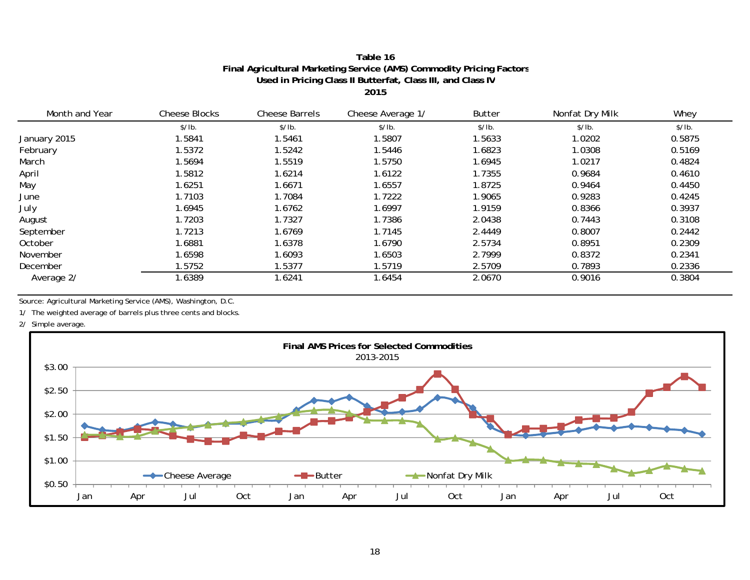#### **Table 16 Final Agricultural Marketing Service (AMS) Commodity Pricing Factor s Used in Pricing Class II Butterfat, Class III, and Class I V 2015**

| Month and Year | <b>Cheese Blocks</b> | <b>Cheese Barrels</b> | Cheese Average 1/ | <b>Butter</b> | Nonfat Dry Milk | Whey   |
|----------------|----------------------|-----------------------|-------------------|---------------|-----------------|--------|
|                | \$/lb.               | \$/lb.                | \$/lb.            | \$/lb.        | \$/lb.          | \$/lb. |
| January 2015   | 1.5841               | 1.5461                | 1.5807            | 1.5633        | 1.0202          | 0.5875 |
| February       | 1.5372               | 1.5242                | 1.5446            | 1.6823        | 1.0308          | 0.5169 |
| March          | 1.5694               | 1.5519                | 1.5750            | 1.6945        | 1.0217          | 0.4824 |
| April          | 1.5812               | 1.6214                | 1.6122            | 1.7355        | 0.9684          | 0.4610 |
| May            | 1.6251               | 1.6671                | 1.6557            | 1.8725        | 0.9464          | 0.4450 |
| June           | 1.7103               | 1.7084                | 1.7222            | 1.9065        | 0.9283          | 0.4245 |
| July           | 1.6945               | 1.6762                | 1.6997            | 1.9159        | 0.8366          | 0.3937 |
| August         | 1.7203               | 1.7327                | 1.7386            | 2.0438        | 0.7443          | 0.3108 |
| September      | 1.7213               | 1.6769                | 1.7145            | 2.4449        | 0.8007          | 0.2442 |
| October        | 1.6881               | 1.6378                | 1.6790            | 2.5734        | 0.8951          | 0.2309 |
| November       | 1.6598               | 1.6093                | 1.6503            | 2.7999        | 0.8372          | 0.2341 |
| December       | 1.5752               | 1.5377                | 1.5719            | 2.5709        | 0.7893          | 0.2336 |
| Average 2/     | 1.6389               | 1.6241                | 1.6454            | 2.0670        | 0.9016          | 0.3804 |

Source: Agricultural Marketing Service (AMS), Washington, D.C.

1/ The weighted average of barrels plus three cents and blocks.

2/ Simple average.

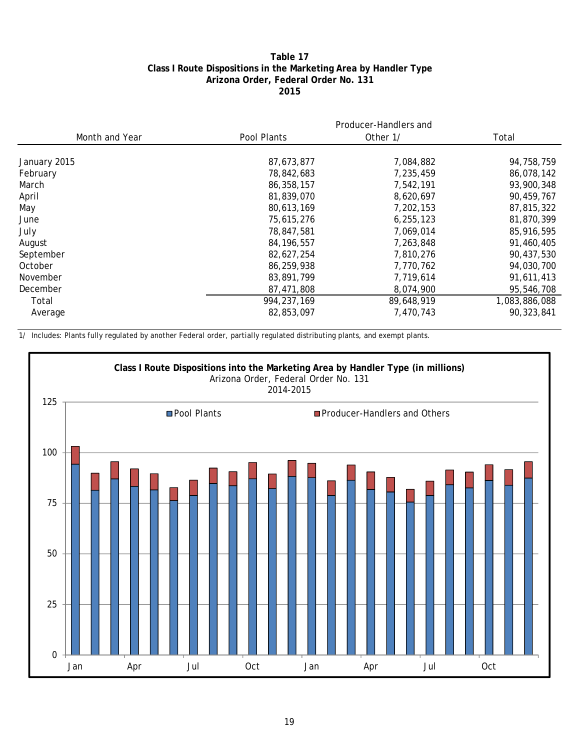## **Table 17 Class I Route Dispositions in the Marketing Area by Handler Type Arizona Order, Federal Order No. 131 2015**

|                | Producer-Handlers and |            |               |  |  |  |  |
|----------------|-----------------------|------------|---------------|--|--|--|--|
| Month and Year | Pool Plants           | Other 1/   | Total         |  |  |  |  |
| January 2015   | 87,673,877            | 7,084,882  | 94,758,759    |  |  |  |  |
| February       | 78,842,683            | 7,235,459  | 86,078,142    |  |  |  |  |
| March          | 86,358,157            | 7,542,191  | 93,900,348    |  |  |  |  |
| April          | 81,839,070            | 8,620,697  | 90,459,767    |  |  |  |  |
| May            | 80,613,169            | 7,202,153  | 87,815,322    |  |  |  |  |
| June           | 75,615,276            | 6,255,123  | 81,870,399    |  |  |  |  |
| July           | 78,847,581            | 7,069,014  | 85,916,595    |  |  |  |  |
| August         | 84, 196, 557          | 7,263,848  | 91,460,405    |  |  |  |  |
| September      | 82,627,254            | 7,810,276  | 90,437,530    |  |  |  |  |
| October        | 86,259,938            | 7,770,762  | 94,030,700    |  |  |  |  |
| November       | 83,891,799            | 7,719,614  | 91,611,413    |  |  |  |  |
| December       | 87,471,808            | 8,074,900  | 95,546,708    |  |  |  |  |
| Total          | 994, 237, 169         | 89,648,919 | 1,083,886,088 |  |  |  |  |
| Average        | 82,853,097            | 7,470,743  | 90,323,841    |  |  |  |  |

1/ Includes: Plants fully regulated by another Federal order, partially regulated distributing plants, and exempt plants.

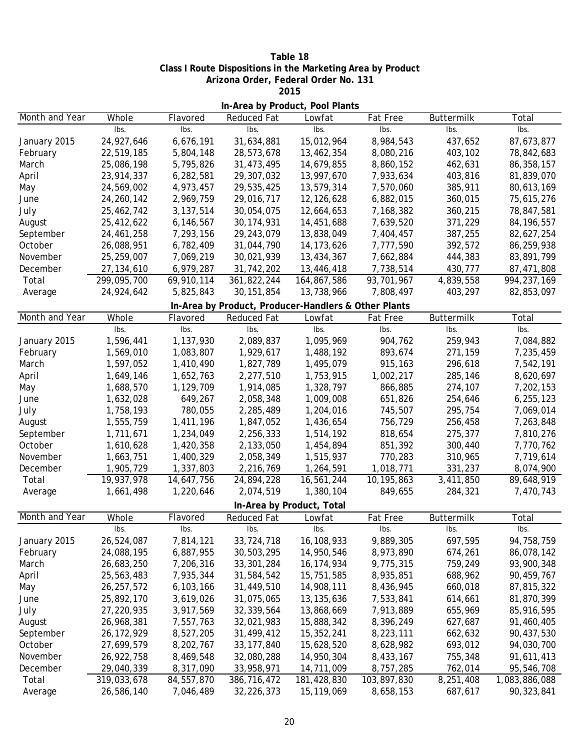| Table 18                                                    |
|-------------------------------------------------------------|
| Class I Route Dispositions in the Marketing Area by Product |
| Arizona Order, Federal Order No. 131                        |
| 2015                                                        |

| In-Area by Product, Pool Plants |              |             |                                                      |                           |                 |                           |               |  |
|---------------------------------|--------------|-------------|------------------------------------------------------|---------------------------|-----------------|---------------------------|---------------|--|
| Month and Year                  | Whole        | Flavored    | Reduced Fat                                          | Lowfat                    | Fat Free        | Buttermilk                | Total         |  |
|                                 | Ibs.         | Ibs.        | Ibs.                                                 | Ibs.                      | Ibs.            | Ibs.                      | Ibs.          |  |
| January 2015                    | 24,927,646   | 6,676,191   | 31,634,881                                           | 15,012,964                | 8,984,543       | 437,652                   | 87,673,877    |  |
| February                        | 22,519,185   | 5,804,148   | 28,573,678                                           | 13,462,354                | 8,080,216       | 403,102                   | 78,842,683    |  |
| March                           | 25,086,198   | 5,795,826   | 31,473,495                                           | 14,679,855                | 8,860,152       | 462,631                   | 86,358,157    |  |
| April                           | 23,914,337   | 6,282,581   | 29,307,032                                           | 13,997,670                | 7,933,634       | 403,816                   | 81,839,070    |  |
| May                             | 24,569,002   | 4,973,457   | 29,535,425                                           | 13,579,314                | 7,570,060       | 385,911                   | 80,613,169    |  |
| June                            | 24, 260, 142 | 2,969,759   | 29,016,717                                           | 12,126,628                | 6,882,015       | 360,015                   | 75,615,276    |  |
| July                            | 25,462,742   | 3, 137, 514 | 30,054,075                                           | 12,664,653                | 7,168,382       | 360,215                   | 78,847,581    |  |
| August                          | 25,412,622   | 6,146,567   | 30, 174, 931                                         | 14,451,688                | 7,639,520       | 371,229                   | 84, 196, 557  |  |
| September                       | 24,461,258   | 7,293,156   | 29,243,079                                           | 13,838,049                | 7,404,457       | 387,255                   | 82,627,254    |  |
| October                         | 26,088,951   | 6,782,409   | 31,044,790                                           | 14, 173, 626              | 7,777,590       | 392,572                   | 86,259,938    |  |
| November                        | 25,259,007   | 7,069,219   | 30,021,939                                           | 13,434,367                | 7,662,884       | 444,383                   | 83,891,799    |  |
| December                        | 27, 134, 610 | 6,979,287   | 31,742,202                                           | 13,446,418                | 7,738,514       | 430,777                   | 87,471,808    |  |
| Total                           | 299,095,700  | 69,910,114  | 361,822,244                                          | 164,867,586               | 93,701,967      | $\overline{4}$ , 839, 558 | 994, 237, 169 |  |
| Average                         | 24,924,642   | 5,825,843   | 30, 151, 854                                         | 13,738,966                | 7,808,497       | 403,297                   | 82,853,097    |  |
|                                 |              |             | In-Area by Product, Producer-Handlers & Other Plants |                           |                 |                           |               |  |
| Month and Year                  | Whole        | Flavored    | Reduced Fat                                          | Lowfat                    | <b>Fat Free</b> | Buttermilk                | Total         |  |
|                                 | Ibs.         | Ibs.        | Ibs.                                                 | Ibs.                      | lbs.            | Ibs.                      | Ibs.          |  |
| January 2015                    | 1,596,441    | 1,137,930   | 2,089,837                                            | 1,095,969                 | 904,762         | 259,943                   | 7,084,882     |  |
| February                        | 1,569,010    | 1,083,807   | 1,929,617                                            | 1,488,192                 | 893,674         | 271,159                   | 7,235,459     |  |
| March                           | 1,597,052    | 1,410,490   | 1,827,789                                            | 1,495,079                 | 915,163         | 296,618                   | 7,542,191     |  |
| April                           | 1,649,146    | 1,652,763   | 2,277,510                                            | 1,753,915                 | 1,002,217       | 285,146                   | 8,620,697     |  |
| May                             | 1,688,570    | 1,129,709   | 1,914,085                                            | 1,328,797                 | 866,885         | 274,107                   | 7,202,153     |  |
| June                            | 1,632,028    | 649,267     | 2,058,348                                            | 1,009,008                 | 651,826         | 254,646                   | 6,255,123     |  |
| July                            | 1,758,193    | 780,055     | 2,285,489                                            | 1,204,016                 | 745,507         | 295,754                   | 7,069,014     |  |
| August                          | 1,555,759    | 1,411,196   | 1,847,052                                            | 1,436,654                 | 756,729         | 256,458                   | 7,263,848     |  |
| September                       | 1,711,671    | 1,234,049   | 2,256,333                                            | 1,514,192                 | 818,654         | 275,377                   | 7,810,276     |  |
| October                         | 1,610,628    | 1,420,358   | 2,133,050                                            | 1,454,894                 | 851,392         | 300,440                   | 7,770,762     |  |
| November                        | 1,663,751    | 1,400,329   | 2,058,349                                            | 1,515,937                 | 770,283         | 310,965                   | 7,719,614     |  |
| December                        | 1,905,729    | 1,337,803   | 2,216,769                                            | 1,264,591                 | 1,018,771       | 331,237                   | 8,074,900     |  |
| Total                           | 19,937,978   | 14,647,756  | 24,894,228                                           | 16,561,244                | 10,195,863      | 3,411,850                 | 89,648,919    |  |
| Average                         | 1,661,498    | 1,220,646   | 2,074,519                                            | 1,380,104                 | 849,655         | 284,321                   | 7,470,743     |  |
|                                 |              |             |                                                      | In-Area by Product, Total |                 |                           |               |  |
| Month and Year                  | Whole        | Flavored    | Reduced Fat                                          | Lowfat                    | Fat Free        | Buttermilk                | Total         |  |
|                                 | Ibs.         | lbs.        | Ibs.                                                 | Ibs.                      | lbs.            | lbs.                      | Ibs.          |  |
| January 2015                    | 26,524,087   | 7,814,121   | 33,724,718                                           | 16,108,933                | 9,889,305       | 697,595                   | 94,758,759    |  |
| February                        | 24,088,195   | 6,887,955   | 30,503,295                                           | 14,950,546                | 8,973,890       | 674,261                   | 86,078,142    |  |
| March                           | 26,683,250   | 7,206,316   | 33, 301, 284                                         | 16,174,934                | 9,775,315       | 759,249                   | 93,900,348    |  |
| April                           | 25,563,483   | 7,935,344   | 31,584,542                                           | 15,751,585                | 8,935,851       | 688,962                   | 90,459,767    |  |
| May                             | 26, 257, 572 | 6,103,166   | 31,449,510                                           | 14,908,111                | 8,436,945       | 660,018                   | 87,815,322    |  |
| June                            | 25,892,170   | 3,619,026   | 31,075,065                                           | 13, 135, 636              | 7,533,841       | 614,661                   | 81,870,399    |  |
| July                            | 27,220,935   | 3,917,569   | 32, 339, 564                                         | 13,868,669                | 7,913,889       | 655,969                   | 85,916,595    |  |
| August                          | 26,968,381   | 7,557,763   | 32,021,983                                           | 15,888,342                | 8,396,249       | 627,687                   | 91,460,405    |  |
| September                       | 26, 172, 929 | 8,527,205   | 31,499,412                                           | 15,352,241                | 8,223,111       | 662,632                   | 90,437,530    |  |
| October                         | 27,699,579   | 8,202,767   | 33, 177, 840                                         | 15,628,520                | 8,628,982       | 693,012                   | 94,030,700    |  |
| November                        | 26,922,758   | 8,469,548   | 32,080,288                                           | 14,950,304                | 8,433,167       | 755,348                   | 91,611,413    |  |
| December                        | 29,040,339   | 8,317,090   | 33,958,971                                           | 14,711,009                | 8,757,285       | 762,014                   | 95,546,708    |  |
| Total                           | 319,033,678  | 84,557,870  | 386,716,472                                          | 181,428,830               | 103,897,830     | 8,251,408                 | 1,083,886,088 |  |
| Average                         | 26,586,140   | 7,046,489   | 32,226,373                                           | 15,119,069                | 8,658,153       | 687,617                   | 90,323,841    |  |
|                                 |              |             |                                                      |                           |                 |                           |               |  |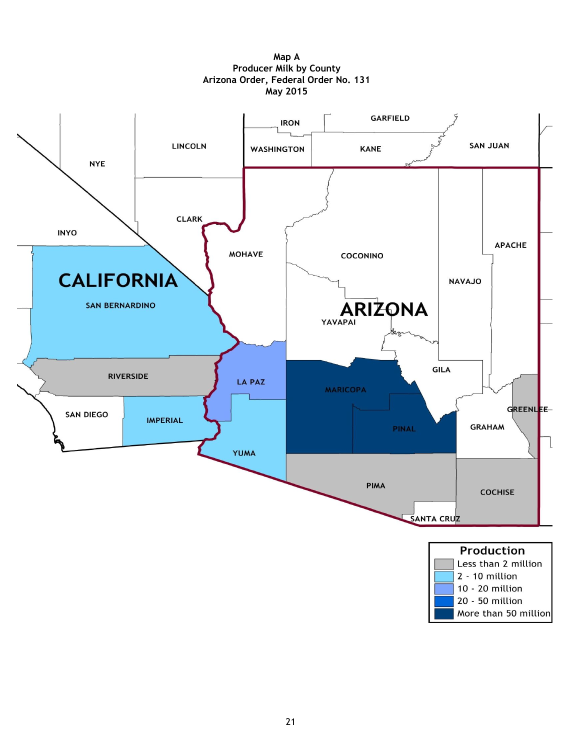

**Map A Producer Milk by County Arizona Order, Federal Order No. 131 May 2015**